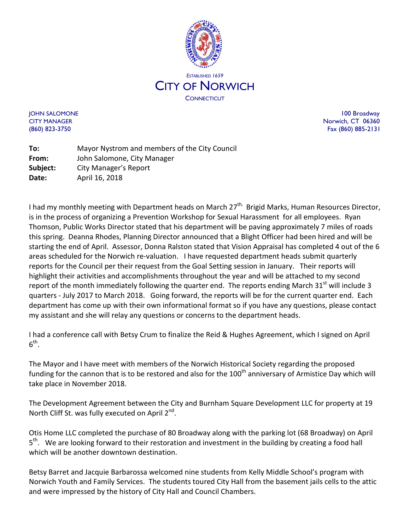

JOHN SALOMONE 100 Broadway CITY MANAGER NORTH STATES AND THE SERVICE OF THE SERVICE OF THE SERVICE OF THE SERVICE OF THE SERVICE OF THE SERVICE OF THE SERVICE OF THE SERVICE OF THE SERVICE OF THE SERVICE OF THE SERVICE OF THE SERVICE OF THE SERVICE (860) 823-3750 Fax (860) 885-2131

**To:** Mayor Nystrom and members of the City Council **From:** John Salomone, City Manager **Subject:** City Manager's Report **Date:** April 16, 2018

I had my monthly meeting with Department heads on March 27<sup>th.</sup> Brigid Marks, Human Resources Director, is in the process of organizing a Prevention Workshop for Sexual Harassment for all employees. Ryan Thomson, Public Works Director stated that his department will be paving approximately 7 miles of roads this spring. Deanna Rhodes, Planning Director announced that a Blight Officer had been hired and will be starting the end of April. Assessor, Donna Ralston stated that Vision Appraisal has completed 4 out of the 6 areas scheduled for the Norwich re-valuation. I have requested department heads submit quarterly reports for the Council per their request from the Goal Setting session in January. Their reports will highlight their activities and accomplishments throughout the year and will be attached to my second report of the month immediately following the quarter end. The reports ending March  $31<sup>st</sup>$  will include 3 quarters - July 2017 to March 2018. Going forward, the reports will be for the current quarter end. Each department has come up with their own informational format so if you have any questions, please contact my assistant and she will relay any questions or concerns to the department heads.

I had a conference call with Betsy Crum to finalize the Reid & Hughes Agreement, which I signed on April  $6^{\text{th}}$ .

The Mayor and I have meet with members of the Norwich Historical Society regarding the proposed funding for the cannon that is to be restored and also for the 100<sup>th</sup> anniversary of Armistice Day which will take place in November 2018.

The Development Agreement between the City and Burnham Square Development LLC for property at 19 North Cliff St. was fully executed on April 2<sup>nd</sup>.

Otis Home LLC completed the purchase of 80 Broadway along with the parking lot (68 Broadway) on April  $5<sup>th</sup>$ . We are looking forward to their restoration and investment in the building by creating a food hall which will be another downtown destination.

Betsy Barret and Jacquie Barbarossa welcomed nine students from Kelly Middle School's program with Norwich Youth and Family Services. The students toured City Hall from the basement jails cells to the attic and were impressed by the history of City Hall and Council Chambers.